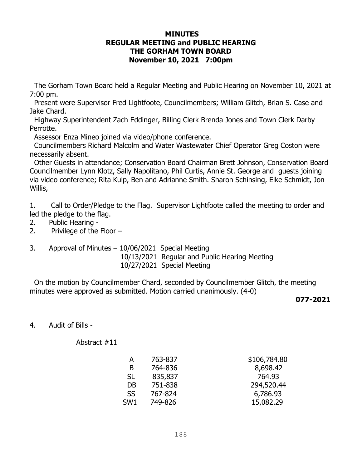## **MINUTES REGULAR MEETING and PUBLIC HEARING THE GORHAM TOWN BOARD November 10, 2021 7:00pm**

The Gorham Town Board held a Regular Meeting and Public Hearing on November 10, 2021 at 7:00 pm.

 Present were Supervisor Fred Lightfoote, Councilmembers; William Glitch, Brian S. Case and Jake Chard.

 Highway Superintendent Zach Eddinger, Billing Clerk Brenda Jones and Town Clerk Darby Perrotte.

Assessor Enza Mineo joined via video/phone conference.

 Councilmembers Richard Malcolm and Water Wastewater Chief Operator Greg Coston were necessarily absent.

 Other Guests in attendance; Conservation Board Chairman Brett Johnson, Conservation Board Councilmember Lynn Klotz, Sally Napolitano, Phil Curtis, Annie St. George and guests joining via video conference; Rita Kulp, Ben and Adrianne Smith. Sharon Schinsing, Elke Schmidt, Jon Willis,

1. Call to Order/Pledge to the Flag. Supervisor Lightfoote called the meeting to order and led the pledge to the flag.

- 2. Public Hearing -
- 2. Privilege of the Floor –
- 3. Approval of Minutes 10/06/2021 Special Meeting 10/13/2021 Regular and Public Hearing Meeting 10/27/2021 Special Meeting

 On the motion by Councilmember Chard, seconded by Councilmember Glitch, the meeting minutes were approved as submitted. Motion carried unanimously. (4-0)

## **077-2021**

4. Audit of Bills -

Abstract #11

| А               | 763-837 | \$106,784.80 |
|-----------------|---------|--------------|
| B               | 764-836 | 8,698.42     |
| <b>SL</b>       | 835,837 | 764.93       |
| DB              | 751-838 | 294,520.44   |
| <b>SS</b>       | 767-824 | 6,786.93     |
| SW <sub>1</sub> | 749-826 | 15,082.29    |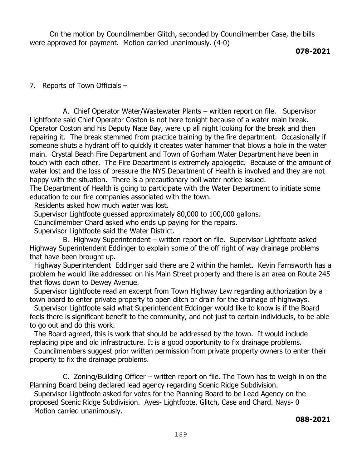On the motion by Councilmember Glitch, seconded by Councilmember Case, the bills were approved for payment. Motion carried unanimously. (4-0)

**078-2021**

7. Reports of Town Officials –

 A. Chief Operator Water/Wastewater Plants – written report on file. Supervisor Lightfoote said Chief Operator Coston is not here tonight because of a water main break. Operator Coston and his Deputy Nate Bay, were up all night looking for the break and then repairing it. The break stemmed from practice training by the fire department. Occasionally if someone shuts a hydrant off to quickly it creates water hammer that blows a hole in the water main. Crystal Beach Fire Department and Town of Gorham Water Department have been in touch with each other. The Fire Department is extremely apologetic. Because of the amount of water lost and the loss of pressure the NYS Department of Health is involved and they are not happy with the situation. There is a precautionary boil water notice issued.

The Department of Health is going to participate with the Water Department to initiate some education to our fire companies associated with the town.

Residents asked how much water was lost.

Supervisor Lightfoote guessed approximately 80,000 to 100,000 gallons.

Councilmember Chard asked who ends up paying for the repairs.

Supervisor Lightfoote said the Water District.

 B. Highway Superintendent – written report on file. Supervisor Lightfoote asked Highway Superintendent Eddinger to explain some of the off right of way drainage problems that have been brought up.

 Highway Superintendent Eddinger said there are 2 within the hamlet. Kevin Farnsworth has a problem he would like addressed on his Main Street property and there is an area on Route 245 that flows down to Dewey Avenue.

 Supervisor Lightfoote read an excerpt from Town Highway Law regarding authorization by a town board to enter private property to open ditch or drain for the drainage of highways.

 Supervisor Lightfoote said what Superintendent Eddinger would like to know is if the Board feels there is significant benefit to the community, and not just to certain individuals, to be able to go out and do this work.

 The Board agreed, this is work that should be addressed by the town. It would include replacing pipe and old infrastructure. It is a good opportunity to fix drainage problems.

 Councilmembers suggest prior written permission from private property owners to enter their property to fix the drainage problems.

 C. Zoning/Building Officer – written report on file. The Town has to weigh in on the Planning Board being declared lead agency regarding Scenic Ridge Subdivision.

 Supervisor Lightfoote asked for votes for the Planning Board to be Lead Agency on the proposed Scenic Ridge Subdivision. Ayes- Lightfoote, Glitch, Case and Chard. Nays- 0 Motion carried unanimously.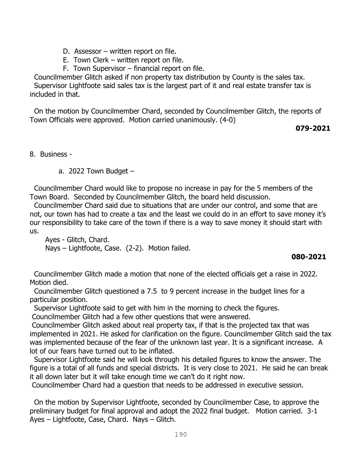- D. Assessor written report on file.
- E. Town Clerk written report on file.
- F. Town Supervisor financial report on file.

Councilmember Glitch asked if non property tax distribution by County is the sales tax. Supervisor Lightfoote said sales tax is the largest part of it and real estate transfer tax is included in that.

 On the motion by Councilmember Chard, seconded by Councilmember Glitch, the reports of Town Officials were approved. Motion carried unanimously. (4-0)

**079-2021** 

8. Business -

a. 2022 Town Budget  $-$ 

Councilmember Chard would like to propose no increase in pay for the 5 members of the Town Board. Seconded by Councilmember Glitch, the board held discussion.

 Councilmember Chard said due to situations that are under our control, and some that are not, our town has had to create a tax and the least we could do in an effort to save money it's our responsibility to take care of the town if there is a way to save money it should start with us.

 Ayes - Glitch, Chard. Nays – Lightfoote, Case. (2-2). Motion failed.

## **080-2021**

 Councilmember Glitch made a motion that none of the elected officials get a raise in 2022. Motion died.

 Councilmember Glitch questioned a 7.5 to 9 percent increase in the budget lines for a particular position.

Supervisor Lightfoote said to get with him in the morning to check the figures.

Councilmember Glitch had a few other questions that were answered.

Councilmember Glitch asked about real property tax, if that is the projected tax that was implemented in 2021. He asked for clarification on the figure. Councilmember Glitch said the tax was implemented because of the fear of the unknown last year. It is a significant increase. A lot of our fears have turned out to be inflated.

 Supervisor Lightfoote said he will look through his detailed figures to know the answer. The figure is a total of all funds and special districts. It is very close to 2021. He said he can break it all down later but it will take enough time we can't do it right now.

Councilmember Chard had a question that needs to be addressed in executive session.

 On the motion by Supervisor Lightfoote, seconded by Councilmember Case, to approve the preliminary budget for final approval and adopt the 2022 final budget. Motion carried. 3-1 Ayes – Lightfoote, Case, Chard. Nays – Glitch.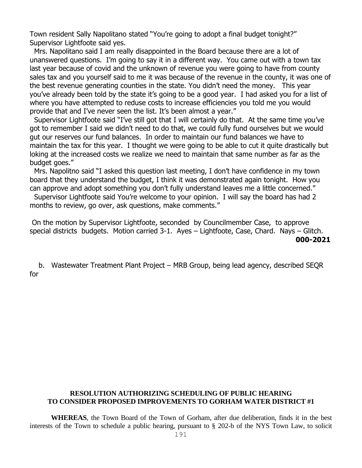Town resident Sally Napolitano stated "You're going to adopt a final budget tonight?" Supervisor Lightfoote said yes.

 Mrs. Napolitano said I am really disappointed in the Board because there are a lot of unanswered questions. I'm going to say it in a different way. You came out with a town tax last year because of covid and the unknown of revenue you were going to have from county sales tax and you yourself said to me it was because of the revenue in the county, it was one of the best revenue generating counties in the state. You didn't need the money. This year you've already been told by the state it's going to be a good year. I had asked you for a list of where you have attempted to reduse costs to increase efficiencies you told me you would provide that and I've never seen the list. It's been almost a year."

 Supervisor Lightfoote said "I've still got that I will certainly do that. At the same time you've got to remember I said we didn't need to do that, we could fully fund ourselves but we would gut our reserves our fund balances. In order to maintain our fund balances we have to maintain the tax for this year. I thought we were going to be able to cut it quite drastically but loking at the increased costs we realize we need to maintain that same number as far as the budget goes."

 Mrs. Napolitno said "I asked this question last meeting, I don't have confidence in my town board that they understand the budget, I think it was demonstrated again tonight. How you can approve and adopt something you don't fully understand leaves me a little concerned."

 Supervisor Lightfoote said You're welcome to your opinion. I will say the board has had 2 months to review, go over, ask questions, make comments."

On the motion by Supervisor Lightfoote, seconded by Councilmember Case, to approve special districts budgets. Motion carried 3-1. Ayes – Lightfoote, Case, Chard. Nays – Glitch.  **000-2021**

 b. Wastewater Treatment Plant Project – MRB Group, being lead agency, described SEQR for

## **RESOLUTION AUTHORIZING SCHEDULING OF PUBLIC HEARING TO CONSIDER PROPOSED IMPROVEMENTS TO GORHAM WATER DISTRICT #1**

**WHEREAS**, the Town Board of the Town of Gorham, after due deliberation, finds it in the best interests of the Town to schedule a public hearing, pursuant to § 202-b of the NYS Town Law, to solicit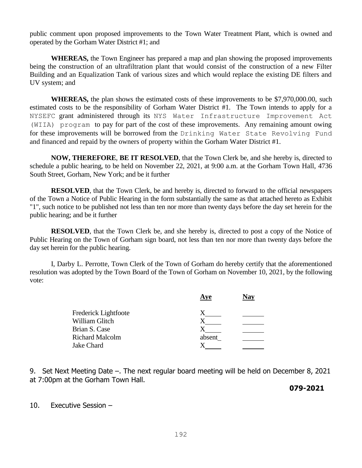public comment upon proposed improvements to the Town Water Treatment Plant, which is owned and operated by the Gorham Water District #1; and

**WHEREAS,** the Town Engineer has prepared a map and plan showing the proposed improvements being the construction of an ultrafiltration plant that would consist of the construction of a new Filter Building and an Equalization Tank of various sizes and which would replace the existing DE filters and UV system; and

**WHEREAS,** the plan shows the estimated costs of these improvements to be \$7,970,000.00, such estimated costs to be the responsibility of Gorham Water District #1. The Town intends to apply for a NYSEFC grant administered through its NYS Water Infrastructure Improvement Act (WIIA) program to pay for part of the cost of these improvements. Any remaining amount owing for these improvements will be borrowed from the Drinking Water State Revolving Fund and financed and repaid by the owners of property within the Gorham Water District #1.

**NOW, THEREFORE**, **BE IT RESOLVED**, that the Town Clerk be, and she hereby is, directed to schedule a public hearing, to be held on November 22, 2021, at 9:00 a.m. at the Gorham Town Hall, 4736 South Street, Gorham, New York; and be it further

**RESOLVED**, that the Town Clerk, be and hereby is, directed to forward to the official newspapers of the Town a Notice of Public Hearing in the form substantially the same as that attached hereto as Exhibit "1", such notice to be published not less than ten nor more than twenty days before the day set herein for the public hearing; and be it further

**RESOLVED**, that the Town Clerk be, and she hereby is, directed to post a copy of the Notice of Public Hearing on the Town of Gorham sign board, not less than ten nor more than twenty days before the day set herein for the public hearing.

I, Darby L. Perrotte, Town Clerk of the Town of Gorham do hereby certify that the aforementioned resolution was adopted by the Town Board of the Town of Gorham on November 10, 2021, by the following vote:

|                        | Aye    | Nay |
|------------------------|--------|-----|
| Frederick Lightfoote   |        |     |
| William Glitch         | X      |     |
| Brian S. Case          |        |     |
| <b>Richard Malcolm</b> | absent |     |
| Jake Chard             |        |     |
|                        |        |     |

9. Set Next Meeting Date –. The next regular board meeting will be held on December 8, 2021 at 7:00pm at the Gorham Town Hall.

 **079-2021**

10. Executive Session –